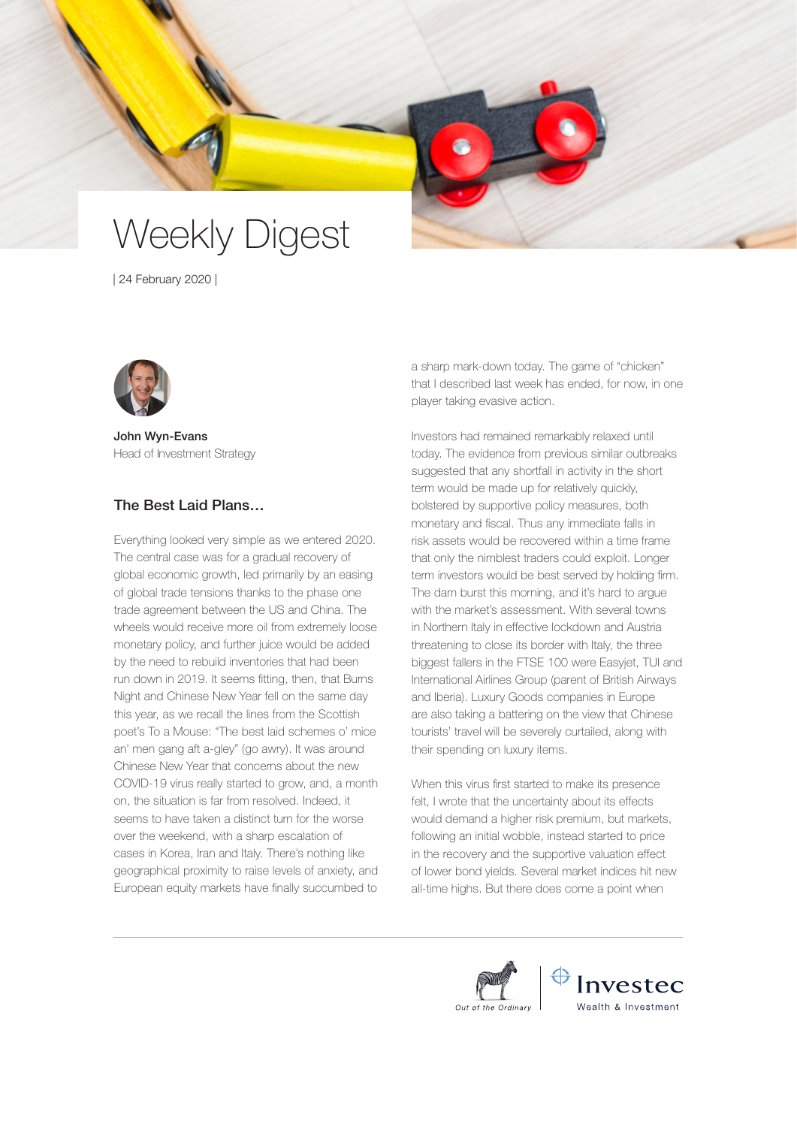# Weekly Digest

| 24 February 2020 |



John Wyn-Evans Head of Investment Strategy

# The Best Laid Plans…

Everything looked very simple as we entered 2020. The central case was for a gradual recovery of global economic growth, led primarily by an easing of global trade tensions thanks to the phase one trade agreement between the US and China. The wheels would receive more oil from extremely loose monetary policy, and further juice would be added by the need to rebuild inventories that had been run down in 2019. It seems fitting, then, that Burns Night and Chinese New Year fell on the same day this year, as we recall the lines from the Scottish poet's To a Mouse: "The best laid schemes o' mice an' men gang aft a-gley" (go awry). It was around Chinese New Year that concerns about the new COVID-19 virus really started to grow, and, a month on, the situation is far from resolved. Indeed, it seems to have taken a distinct turn for the worse over the weekend, with a sharp escalation of cases in Korea, Iran and Italy. There's nothing like geographical proximity to raise levels of anxiety, and European equity markets have finally succumbed to

a sharp mark-down today. The game of "chicken" that I described last week has ended, for now, in one player taking evasive action.

Investors had remained remarkably relaxed until today. The evidence from previous similar outbreaks suggested that any shortfall in activity in the short term would be made up for relatively quickly, bolstered by supportive policy measures, both monetary and fiscal. Thus any immediate falls in risk assets would be recovered within a time frame that only the nimblest traders could exploit. Longer term investors would be best served by holding firm. The dam burst this morning, and it's hard to argue with the market's assessment. With several towns in Northern Italy in effective lockdown and Austria threatening to close its border with Italy, the three biggest fallers in the FTSE 100 were Easyjet, TUI and International Airlines Group (parent of British Airways and Iberia). Luxury Goods companies in Europe are also taking a battering on the view that Chinese tourists' travel will be severely curtailed, along with their spending on luxury items.

When this virus first started to make its presence felt, I wrote that the uncertainty about its effects would demand a higher risk premium, but markets, following an initial wobble, instead started to price in the recovery and the supportive valuation effect of lower bond yields. Several market indices hit new all-time highs. But there does come a point when

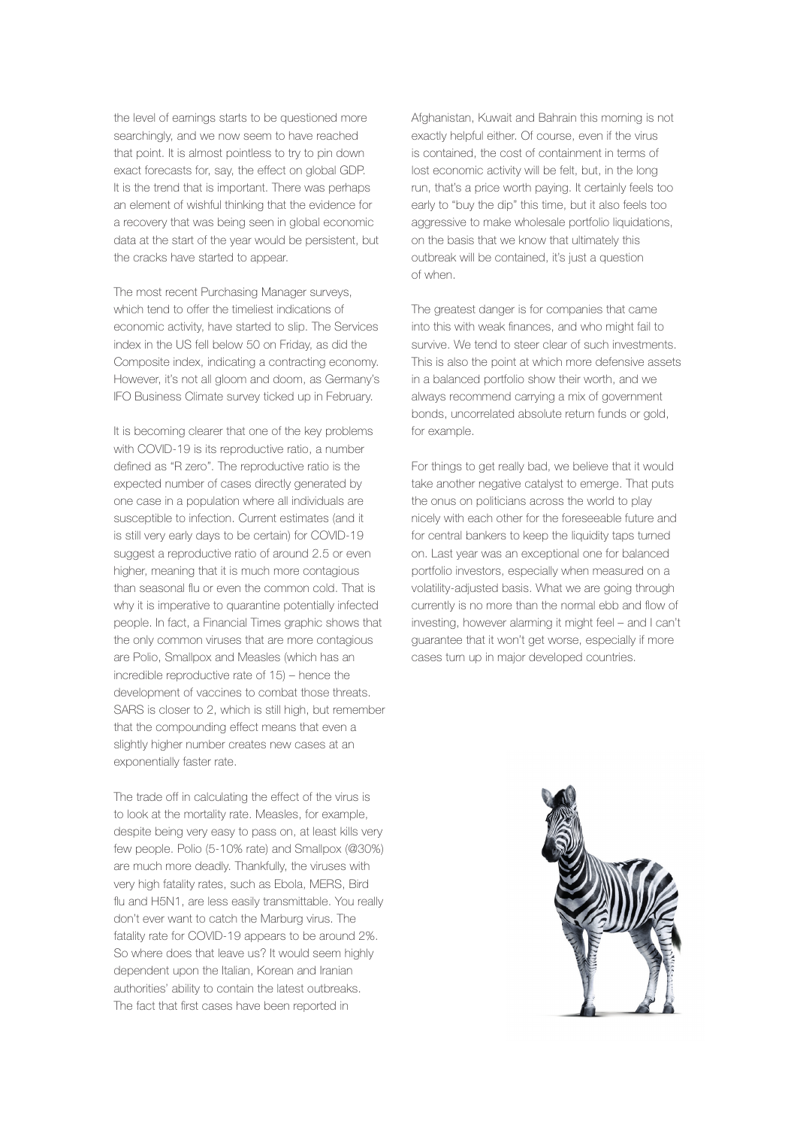the level of earnings starts to be questioned more searchingly, and we now seem to have reached that point. It is almost pointless to try to pin down exact forecasts for, say, the effect on global GDP. It is the trend that is important. There was perhaps an element of wishful thinking that the evidence for a recovery that was being seen in global economic data at the start of the year would be persistent, but the cracks have started to appear.

The most recent Purchasing Manager surveys, which tend to offer the timeliest indications of economic activity, have started to slip. The Services index in the US fell below 50 on Friday, as did the Composite index, indicating a contracting economy. However, it's not all gloom and doom, as Germany's IFO Business Climate survey ticked up in February.

It is becoming clearer that one of the key problems with COVID-19 is its reproductive ratio, a number defined as "R zero". The reproductive ratio is the expected number of cases directly generated by one case in a population where all individuals are susceptible to infection. Current estimates (and it is still very early days to be certain) for COVID-19 suggest a reproductive ratio of around 2.5 or even higher, meaning that it is much more contagious than seasonal flu or even the common cold. That is why it is imperative to quarantine potentially infected people. In fact, a Financial Times graphic shows that the only common viruses that are more contagious are Polio, Smallpox and Measles (which has an incredible reproductive rate of 15) – hence the development of vaccines to combat those threats. SARS is closer to 2, which is still high, but remember that the compounding effect means that even a slightly higher number creates new cases at an exponentially faster rate.

The trade off in calculating the effect of the virus is to look at the mortality rate. Measles, for example, despite being very easy to pass on, at least kills very few people. Polio (5-10% rate) and Smallpox (@30%) are much more deadly. Thankfully, the viruses with very high fatality rates, such as Ebola, MERS, Bird flu and H5N1, are less easily transmittable. You really don't ever want to catch the Marburg virus. The fatality rate for COVID-19 appears to be around 2%. So where does that leave us? It would seem highly dependent upon the Italian, Korean and Iranian authorities' ability to contain the latest outbreaks. The fact that first cases have been reported in

Afghanistan, Kuwait and Bahrain this morning is not exactly helpful either. Of course, even if the virus is contained, the cost of containment in terms of lost economic activity will be felt, but, in the long run, that's a price worth paying. It certainly feels too early to "buy the dip" this time, but it also feels too aggressive to make wholesale portfolio liquidations, on the basis that we know that ultimately this outbreak will be contained, it's just a question of when.

The greatest danger is for companies that came into this with weak finances, and who might fail to survive. We tend to steer clear of such investments. This is also the point at which more defensive assets in a balanced portfolio show their worth, and we always recommend carrying a mix of government bonds, uncorrelated absolute return funds or gold, for example.

For things to get really bad, we believe that it would take another negative catalyst to emerge. That puts the onus on politicians across the world to play nicely with each other for the foreseeable future and for central bankers to keep the liquidity taps turned on. Last year was an exceptional one for balanced portfolio investors, especially when measured on a volatility-adjusted basis. What we are going through currently is no more than the normal ebb and flow of investing, however alarming it might feel – and I can't guarantee that it won't get worse, especially if more cases turn up in major developed countries.